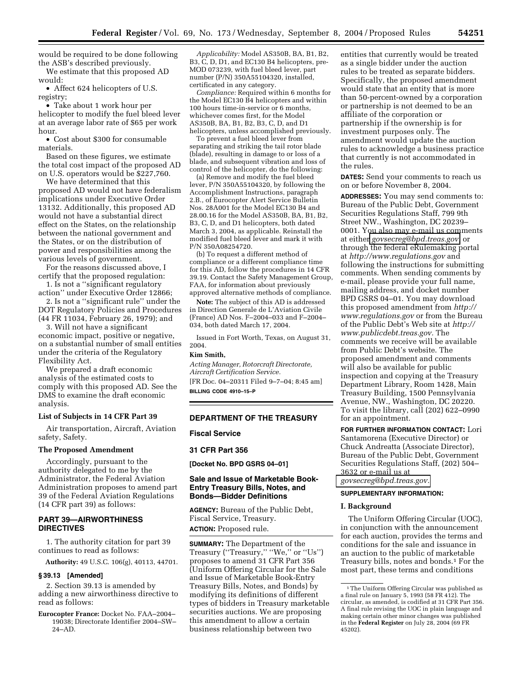would be required to be done following the ASB's described previously.

We estimate that this proposed AD would:

• Affect 624 helicopters of U.S. registry;

• Take about 1 work hour per helicopter to modify the fuel bleed lever at an average labor rate of \$65 per work hour.

• Cost about \$300 for consumable materials.

Based on these figures, we estimate the total cost impact of the proposed AD on U.S. operators would be \$227,760.

We have determined that this proposed AD would not have federalism implications under Executive Order 13132. Additionally, this proposed AD would not have a substantial direct effect on the States, on the relationship between the national government and the States, or on the distribution of power and responsibilities among the various levels of government.

For the reasons discussed above, I certify that the proposed regulation:

1. Is not a ''significant regulatory action'' under Executive Order 12866;

2. Is not a ''significant rule'' under the DOT Regulatory Policies and Procedures (44 FR 11034, February 26, 1979); and

3. Will not have a significant economic impact, positive or negative, on a substantial number of small entities under the criteria of the Regulatory Flexibility Act.

We prepared a draft economic analysis of the estimated costs to comply with this proposed AD. See the DMS to examine the draft economic analysis.

### **List of Subjects in 14 CFR Part 39**

Air transportation, Aircraft, Aviation safety, Safety.

### **The Proposed Amendment**

Accordingly, pursuant to the authority delegated to me by the Administrator, the Federal Aviation Administration proposes to amend part 39 of the Federal Aviation Regulations (14 CFR part 39) as follows:

## **PART 39—AIRWORTHINESS DIRECTIVES**

1. The authority citation for part 39 continues to read as follows:

**Authority:** 49 U.S.C. 106(g), 40113, 44701.

#### **§ 39.13 [Amended]**

2. Section 39.13 is amended by adding a new airworthiness directive to read as follows:

**Eurocopter France:** Docket No. FAA–2004– 19038; Directorate Identifier 2004–SW– 24–AD.

*Applicability:* Model AS350B, BA, B1, B2, B3, C, D, D1, and EC130 B4 helicopters, pre-MOD 073239, with fuel bleed lever, part number (P/N) 350A55104320, installed, certificated in any category.

*Compliance:* Required within 6 months for the Model EC130 B4 helicopters and within 100 hours time-in-service or 6 months, whichever comes first, for the Model AS350B, BA, B1, B2, B3, C, D, and D1 helicopters, unless accomplished previously.

To prevent a fuel bleed lever from separating and striking the tail rotor blade (blade), resulting in damage to or loss of a blade, and subsequent vibration and loss of control of the helicopter, do the following:

(a) Remove and modify the fuel bleed lever, P/N 350A55104320, by following the Accomplishment Instructions, paragraph 2.B., of Eurocopter Alert Service Bulletin Nos. 28A001 for the Model EC130 B4 and 28.00.16 for the Model AS350B, BA, B1, B2, B3, C, D, and D1 helicopters, both dated March 3, 2004, as applicable. Reinstall the modified fuel bleed lever and mark it with P/N 350A08254720.

(b) To request a different method of compliance or a different compliance time for this AD, follow the procedures in 14 CFR 39.19. Contact the Safety Management Group, FAA, for information about previously approved alternative methods of compliance.

**Note:** The subject of this AD is addressed in Direction Generale de L'Aviation Civile (France) AD Nos. F–2004–033 and F–2004– 034, both dated March 17, 2004.

Issued in Fort Worth, Texas, on August 31, 2004.

## **Kim Smith,**

*Acting Manager, Rotorcraft Directorate, Aircraft Certification Service.* [FR Doc. 04–20311 Filed 9–7–04; 8:45 am] **BILLING CODE 4910–15–P**

#### **DEPARTMENT OF THE TREASURY**

**Fiscal Service** 

#### **31 CFR Part 356**

**[Docket No. BPD GSRS 04–01]** 

### **Sale and Issue of Marketable Book-Entry Treasury Bills, Notes, and Bonds—Bidder Definitions**

**AGENCY:** Bureau of the Public Debt, Fiscal Service, Treasury. **ACTION:** Proposed rule.

**SUMMARY:** The Department of the Treasury ("Treasury," "We," or "Us") proposes to amend 31 CFR Part 356 (Uniform Offering Circular for the Sale and Issue of Marketable Book-Entry Treasury Bills, Notes, and Bonds) by modifying its definitions of different types of bidders in Treasury marketable securities auctions. We are proposing this amendment to allow a certain business relationship between two

entities that currently would be treated as a single bidder under the auction rules to be treated as separate bidders. Specifically, the proposed amendment would state that an entity that is more than 50-percent-owned by a corporation or partnership is not deemed to be an affiliate of the corporation or partnership if the ownership is for investment purposes only. The amendment would update the auction rules to acknowledge a business practice that currently is not accommodated in the rules.

**DATES:** Send your comments to reach us on or before November 8, 2004.

**ADDRESSES:** You may send comments to: Bureau of the Public Debt, Government Securities Regulations Staff, 799 9th Street NW., Washington, DC 20239– 0001. You also may e-mail us comments at either *[govsecreg@bpd.treas.gov,](mailto:govsecreg@bpd.treas.gov)* or through the federal eRulemaking portal at *<http://www.regulations.gov>* and following the instructions for submitting comments. When sending comments by e-mail, please provide your full name, mailing address, and docket number BPD GSRS 04–01. You may download [this proposed amendment from](http://www.regulations.gov) *http:// www.regulations.gov* or from the Bureau [of the Public Debt's Web site at](http://www.publicdebt.treas.gov) *http:// www.publicdebt.treas.gov.* The comments we receive will be available from Public Debt's website. The proposed amendment and comments will also be available for public inspection and copying at the Treasury Department Library, Room 1428, Main Treasury Building, 1500 Pennsylvania Avenue, NW., Washington, DC 20220. To visit the library, call (202) 622–0990 for an appointment.

**FOR FURTHER INFORMATION CONTACT:** Lori Santamorena (Executive Director) or Chuck Andreatta (Associate Director), Bureau of the Public Debt, Government Securities Regulations Staff, (202) 504– 3632 or e-mail us at *[govsecreg@bpd.treas.gov.](mailto:govsecreg@bpd.treas.gov)*

### **SUPPLEMENTARY INFORMATION:**

### **I. Background**

The Uniform Offering Circular (UOC), in conjunction with the announcement for each auction, provides the terms and conditions for the sale and issuance in an auction to the public of marketable Treasury bills, notes and bonds.1 For the most part, these terms and conditions

<sup>1</sup>The Uniform Offering Circular was published as a final rule on January 5, 1993 (58 FR 412). The circular, as amended, is codified at 31 CFR Part 356. A final rule revising the UOC in plain language and making certain other minor changes was published in the **Federal Register** on July 28, 2004 (69 FR 45202).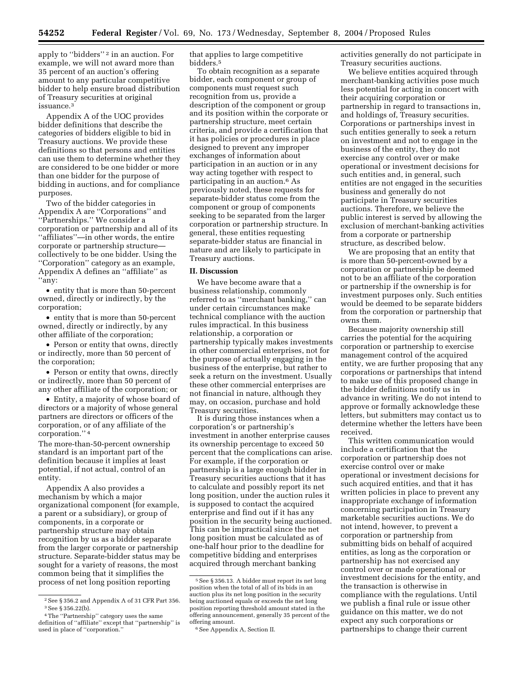apply to "bidders"<sup>2</sup> in an auction. For example, we will not award more than 35 percent of an auction's offering amount to any particular competitive bidder to help ensure broad distribution of Treasury securities at original issuance.3

Appendix A of the UOC provides bidder definitions that describe the categories of bidders eligible to bid in Treasury auctions. We provide these definitions so that persons and entities can use them to determine whether they are considered to be one bidder or more than one bidder for the purpose of bidding in auctions, and for compliance purposes.

Two of the bidder categories in Appendix A are ''Corporations'' and ''Partnerships.'' We consider a corporation or partnership and all of its ''affiliates''—in other words, the entire corporate or partnership structure collectively to be one bidder. Using the ''Corporation'' category as an example, Appendix A defines an ''affiliate'' as ''any:

• entity that is more than 50-percent owned, directly or indirectly, by the corporation;

• entity that is more than 50-percent owned, directly or indirectly, by any other affiliate of the corporation;

• Person or entity that owns, directly or indirectly, more than 50 percent of the corporation;

• Person or entity that owns, directly or indirectly, more than 50 percent of any other affiliate of the corporation; or

• Entity, a majority of whose board of directors or a majority of whose general partners are directors or officers of the corporation, or of any affiliate of the corporation.'' 4

The more-than-50-percent ownership standard is an important part of the definition because it implies at least potential, if not actual, control of an entity.

Appendix A also provides a mechanism by which a major organizational component (for example, a parent or a subsidiary), or group of components, in a corporate or partnership structure may obtain recognition by us as a bidder separate from the larger corporate or partnership structure. Separate-bidder status may be sought for a variety of reasons, the most common being that it simplifies the process of net long position reporting

that applies to large competitive bidders.5

To obtain recognition as a separate bidder, each component or group of components must request such recognition from us, provide a description of the component or group and its position within the corporate or partnership structure, meet certain criteria, and provide a certification that it has policies or procedures in place designed to prevent any improper exchanges of information about participation in an auction or in any way acting together with respect to participating in an auction.6 As previously noted, these requests for separate-bidder status come from the component or group of components seeking to be separated from the larger corporation or partnership structure. In general, these entities requesting separate-bidder status are financial in nature and are likely to participate in Treasury auctions.

### **II. Discussion**

We have become aware that a business relationship, commonly referred to as ''merchant banking,'' can under certain circumstances make technical compliance with the auction rules impractical. In this business relationship, a corporation or partnership typically makes investments in other commercial enterprises, not for the purpose of actually engaging in the business of the enterprise, but rather to seek a return on the investment. Usually these other commercial enterprises are not financial in nature, although they may, on occasion, purchase and hold Treasury securities.

It is during those instances when a corporation's or partnership's investment in another enterprise causes its ownership percentage to exceed 50 percent that the complications can arise. For example, if the corporation or partnership is a large enough bidder in Treasury securities auctions that it has to calculate and possibly report its net long position, under the auction rules it is supposed to contact the acquired enterprise and find out if it has any position in the security being auctioned. This can be impractical since the net long position must be calculated as of one-half hour prior to the deadline for competitive bidding and enterprises acquired through merchant banking

activities generally do not participate in Treasury securities auctions.

We believe entities acquired through merchant-banking activities pose much less potential for acting in concert with their acquiring corporation or partnership in regard to transactions in, and holdings of, Treasury securities. Corporations or partnerships invest in such entities generally to seek a return on investment and not to engage in the business of the entity, they do not exercise any control over or make operational or investment decisions for such entities and, in general, such entities are not engaged in the securities business and generally do not participate in Treasury securities auctions. Therefore, we believe the public interest is served by allowing the exclusion of merchant-banking activities from a corporate or partnership structure, as described below.

We are proposing that an entity that is more than 50-percent-owned by a corporation or partnership be deemed not to be an affiliate of the corporation or partnership if the ownership is for investment purposes only. Such entities would be deemed to be separate bidders from the corporation or partnership that owns them.

Because majority ownership still carries the potential for the acquiring corporation or partnership to exercise management control of the acquired entity, we are further proposing that any corporations or partnerships that intend to make use of this proposed change in the bidder definitions notify us in advance in writing. We do not intend to approve or formally acknowledge these letters, but submitters may contact us to determine whether the letters have been received.

This written communication would include a certification that the corporation or partnership does not exercise control over or make operational or investment decisions for such acquired entities, and that it has written policies in place to prevent any inappropriate exchange of information concerning participation in Treasury marketable securities auctions. We do not intend, however, to prevent a corporation or partnership from submitting bids on behalf of acquired entities, as long as the corporation or partnership has not exercised any control over or made operational or investment decisions for the entity, and the transaction is otherwise in compliance with the regulations. Until we publish a final rule or issue other guidance on this matter, we do not expect any such corporations or partnerships to change their current

<sup>2</sup>See § 356.2 and Appendix A of 31 CFR Part 356. 3See § 356.22(b).

<sup>4</sup>The ''Partnership'' category uses the same definition of ''affiliate'' except that ''partnership'' is used in place of ''corporation.''

<sup>5</sup>See § 356.13. A bidder must report its net long position when the total of all of its bids in an auction plus its net long position in the security being auctioned equals or exceeds the net long position reporting threshold amount stated in the offering announcement, generally 35 percent of the offering amount.

<sup>6</sup>See Appendix A, Section II.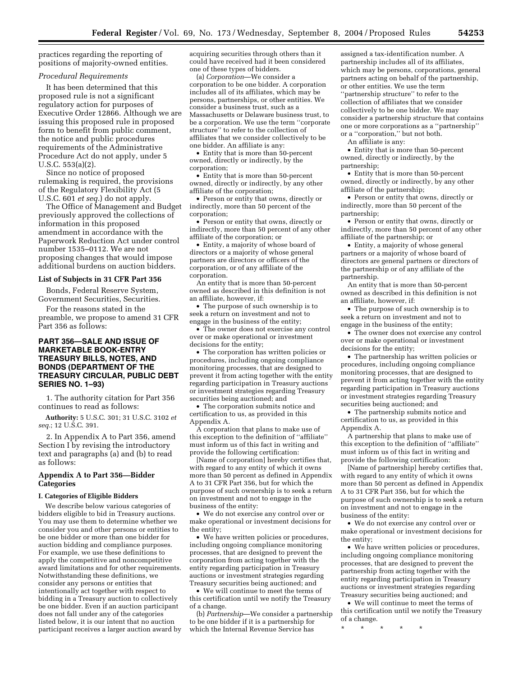practices regarding the reporting of positions of majority-owned entities.

## *Procedural Requirements*

It has been determined that this proposed rule is not a significant regulatory action for purposes of Executive Order 12866. Although we are issuing this proposed rule in proposed form to benefit from public comment, the notice and public procedures requirements of the Administrative Procedure Act do not apply, under 5 U.S.C. 553(a)(2).

Since no notice of proposed rulemaking is required, the provisions of the Regulatory Flexibility Act (5 U.S.C. 601 *et seq.*) do not apply.

The Office of Management and Budget previously approved the collections of information in this proposed amendment in accordance with the Paperwork Reduction Act under control number 1535–0112. We are not proposing changes that would impose additional burdens on auction bidders.

#### **List of Subjects in 31 CFR Part 356**

Bonds, Federal Reserve System, Government Securities, Securities.

For the reasons stated in the preamble, we propose to amend 31 CFR Part 356 as follows:

## **PART 356—SALE AND ISSUE OF MARKETABLE BOOK-ENTRY TREASURY BILLS, NOTES, AND BONDS (DEPARTMENT OF THE TREASURY CIRCULAR, PUBLIC DEBT SERIES NO. 1–93)**

1. The authority citation for Part 356 continues to read as follows:

**Authority:** 5 U.S.C. 301; 31 U.S.C. 3102 *et seq.*; 12 U.S.C. 391.

2. In Appendix A to Part 356, amend Section I by revising the introductory text and paragraphs (a) and (b) to read as follows:

## **Appendix A to Part 356—Bidder Categories**

#### **I. Categories of Eligible Bidders**

We describe below various categories of bidders eligible to bid in Treasury auctions. You may use them to determine whether we consider you and other persons or entities to be one bidder or more than one bidder for auction bidding and compliance purposes. For example, we use these definitions to apply the competitive and noncompetitive award limitations and for other requirements. Notwithstanding these definitions, we consider any persons or entities that intentionally act together with respect to bidding in a Treasury auction to collectively be one bidder. Even if an auction participant does not fall under any of the categories listed below, it is our intent that no auction participant receives a larger auction award by acquiring securities through others than it could have received had it been considered one of these types of bidders.

(a) *Corporation*—We consider a corporation to be one bidder. A corporation includes all of its affiliates, which may be persons, partnerships, or other entities. We consider a business trust, such as a Massachusetts or Delaware business trust, to be a corporation. We use the term ''corporate structure'' to refer to the collection of affiliates that we consider collectively to be one bidder. An affiliate is any:

• Entity that is more than 50-percent owned, directly or indirectly, by the corporation;

• Entity that is more than 50-percent owned, directly or indirectly, by any other affiliate of the corporation;

• Person or entity that owns, directly or indirectly, more than 50 percent of the corporation;

• Person or entity that owns, directly or indirectly, more than 50 percent of any other affiliate of the corporation; or

• Entity, a majority of whose board of directors or a majority of whose general partners are directors or officers of the corporation, or of any affiliate of the corporation.

An entity that is more than 50-percent owned as described in this definition is not an affiliate, however, if:

• The purpose of such ownership is to seek a return on investment and not to engage in the business of the entity;

• The owner does not exercise any control over or make operational or investment decisions for the entity;

• The corporation has written policies or procedures, including ongoing compliance monitoring processes, that are designed to prevent it from acting together with the entity regarding participation in Treasury auctions or investment strategies regarding Treasury securities being auctioned; and

• The corporation submits notice and certification to us, as provided in this Appendix A.

A corporation that plans to make use of this exception to the definition of ''affiliate'' must inform us of this fact in writing and provide the following certification:

[Name of corporation] hereby certifies that, with regard to any entity of which it owns more than 50 percent as defined in Appendix A to 31 CFR Part 356, but for which the purpose of such ownership is to seek a return on investment and not to engage in the business of the entity:

• We do not exercise any control over or make operational or investment decisions for the entity;

• We have written policies or procedures, including ongoing compliance monitoring processes, that are designed to prevent the corporation from acting together with the entity regarding participation in Treasury auctions or investment strategies regarding Treasury securities being auctioned; and

• We will continue to meet the terms of this certification until we notify the Treasury of a change.

(b) *Partnership*—We consider a partnership to be one bidder if it is a partnership for which the Internal Revenue Service has

assigned a tax-identification number. A partnership includes all of its affiliates, which may be persons, corporations, general partners acting on behalf of the partnership, or other entities. We use the term ''partnership structure'' to refer to the collection of affiliates that we consider collectively to be one bidder. We may consider a partnership structure that contains one or more corporations as a ''partnership'' or a ''corporation,'' but not both.

An affiliate is any:

• Entity that is more than 50-percent owned, directly or indirectly, by the partnership;

• Entity that is more than 50-percent owned, directly or indirectly, by any other affiliate of the partnership;

• Person or entity that owns, directly or indirectly, more than 50 percent of the partnership;

• Person or entity that owns, directly or indirectly, more than 50 percent of any other affiliate of the partnership; or

• Entity, a majority of whose general partners or a majority of whose board of directors are general partners or directors of the partnership or of any affiliate of the partnership.

An entity that is more than 50-percent owned as described in this definition is not an affiliate, however, if:

• The purpose of such ownership is to seek a return on investment and not to engage in the business of the entity;

• The owner does not exercise any control over or make operational or investment decisions for the entity;

• The partnership has written policies or procedures, including ongoing compliance monitoring processes, that are designed to prevent it from acting together with the entity regarding participation in Treasury auctions or investment strategies regarding Treasury securities being auctioned; and

• The partnership submits notice and certification to us, as provided in this Appendix A.

A partnership that plans to make use of this exception to the definition of ''affiliate'' must inform us of this fact in writing and provide the following certification:

[Name of partnership] hereby certifies that, with regard to any entity of which it owns more than 50 percent as defined in Appendix A to 31 CFR Part 356, but for which the purpose of such ownership is to seek a return on investment and not to engage in the business of the entity:

• We do not exercise any control over or make operational or investment decisions for the entity;

• We have written policies or procedures, including ongoing compliance monitoring processes, that are designed to prevent the partnership from acting together with the entity regarding participation in Treasury auctions or investment strategies regarding Treasury securities being auctioned; and

• We will continue to meet the terms of this certification until we notify the Treasury of a change.

\* \* \* \* \*